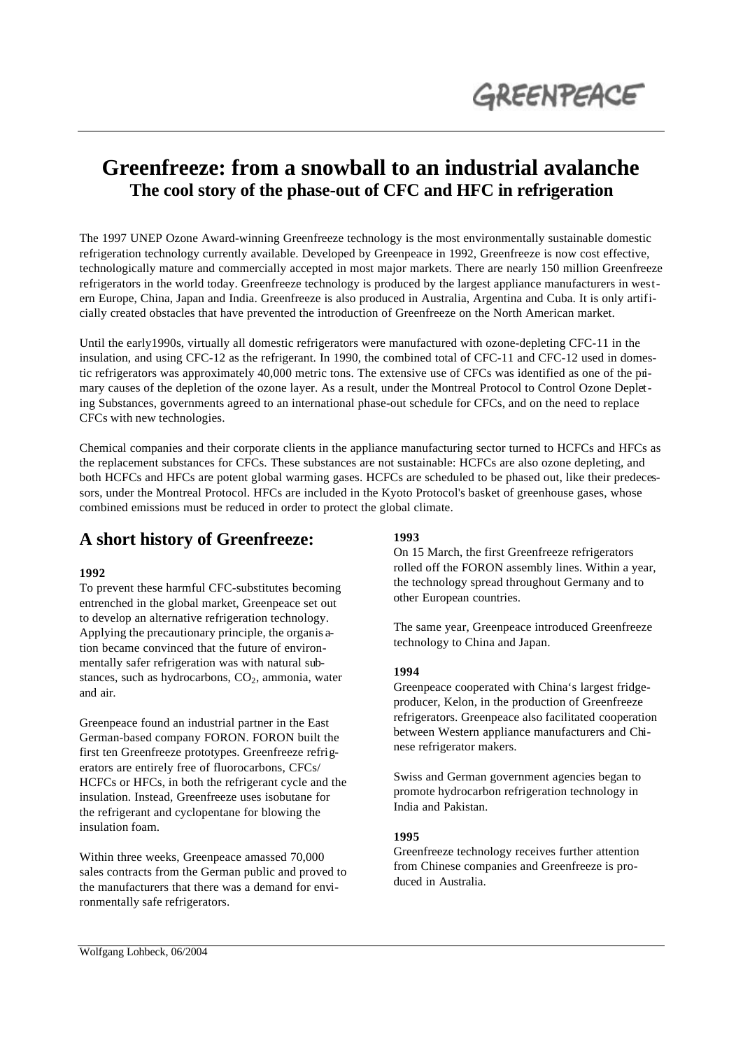

# **Greenfreeze: from a snowball to an industrial avalanche The cool story of the phase-out of CFC and HFC in refrigeration**

The 1997 UNEP Ozone Award-winning Greenfreeze technology is the most environmentally sustainable domestic refrigeration technology currently available. Developed by Greenpeace in 1992, Greenfreeze is now cost effective, technologically mature and commercially accepted in most major markets. There are nearly 150 million Greenfreeze refrigerators in the world today. Greenfreeze technology is produced by the largest appliance manufacturers in western Europe, China, Japan and India. Greenfreeze is also produced in Australia, Argentina and Cuba. It is only artificially created obstacles that have prevented the introduction of Greenfreeze on the North American market.

Until the early1990s, virtually all domestic refrigerators were manufactured with ozone-depleting CFC-11 in the insulation, and using CFC-12 as the refrigerant. In 1990, the combined total of CFC-11 and CFC-12 used in domestic refrigerators was approximately 40,000 metric tons. The extensive use of CFCs was identified as one of the primary causes of the depletion of the ozone layer. As a result, under the Montreal Protocol to Control Ozone Depleting Substances, governments agreed to an international phase-out schedule for CFCs, and on the need to replace CFCs with new technologies.

Chemical companies and their corporate clients in the appliance manufacturing sector turned to HCFCs and HFCs as the replacement substances for CFCs. These substances are not sustainable: HCFCs are also ozone depleting, and both HCFCs and HFCs are potent global warming gases. HCFCs are scheduled to be phased out, like their predecessors, under the Montreal Protocol. HFCs are included in the Kyoto Protocol's basket of greenhouse gases, whose combined emissions must be reduced in order to protect the global climate.

### **A short history of Greenfreeze:**

#### **1992**

To prevent these harmful CFC-substitutes becoming entrenched in the global market, Greenpeace set out to develop an alternative refrigeration technology. Applying the precautionary principle, the organis ation became convinced that the future of environmentally safer refrigeration was with natural substances, such as hydrocarbons,  $CO<sub>2</sub>$ , ammonia, water and air.

Greenpeace found an industrial partner in the East German-based company FORON. FORON built the first ten Greenfreeze prototypes. Greenfreeze refrigerators are entirely free of fluorocarbons, CFCs/ HCFCs or HFCs, in both the refrigerant cycle and the insulation. Instead, Greenfreeze uses isobutane for the refrigerant and cyclopentane for blowing the insulation foam.

Within three weeks, Greenpeace amassed 70,000 sales contracts from the German public and proved to the manufacturers that there was a demand for environmentally safe refrigerators.

### **1993**

On 15 March, the first Greenfreeze refrigerators rolled off the FORON assembly lines. Within a year, the technology spread throughout Germany and to other European countries.

The same year, Greenpeace introduced Greenfreeze technology to China and Japan.

#### **1994**

Greenpeace cooperated with China's largest fridgeproducer, Kelon, in the production of Greenfreeze refrigerators. Greenpeace also facilitated cooperation between Western appliance manufacturers and Chinese refrigerator makers.

Swiss and German government agencies began to promote hydrocarbon refrigeration technology in India and Pakistan.

#### **1995**

Greenfreeze technology receives further attention from Chinese companies and Greenfreeze is produced in Australia.